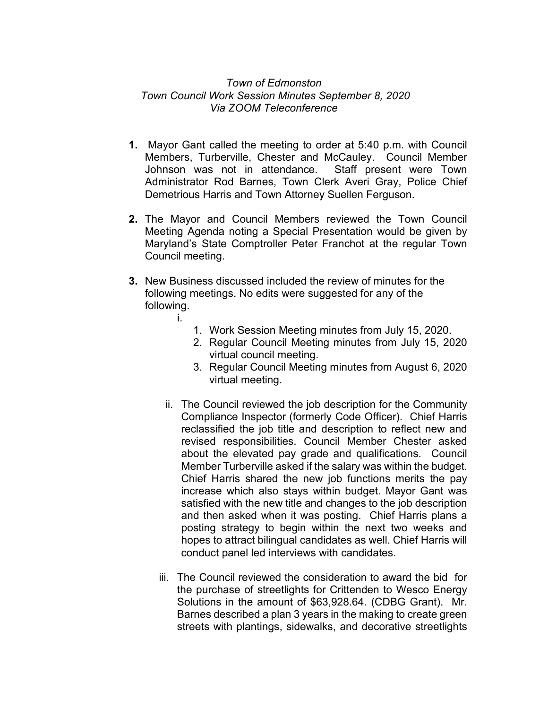## *Town of Edmonston Town Council Work Session Minutes September 8, 2020 Via ZOOM Teleconference*

- **1.** Mayor Gant called the meeting to order at 5:40 p.m. with Council Members, Turberville, Chester and McCauley. Council Member Johnson was not in attendance. Staff present were Town Administrator Rod Barnes, Town Clerk Averi Gray, Police Chief Demetrious Harris and Town Attorney Suellen Ferguson.
- **2.** The Mayor and Council Members reviewed the Town Council Meeting Agenda noting a Special Presentation would be given by Maryland's State Comptroller Peter Franchot at the regular Town Council meeting.
- **3.** New Business discussed included the review of minutes for the following meetings. No edits were suggested for any of the following. i.
	- 1. Work Session Meeting minutes from July 15, 2020.
	- 2. Regular Council Meeting minutes from July 15, 2020 virtual council meeting.
	- 3. Regular Council Meeting minutes from August 6, 2020 virtual meeting.
	- ii. The Council reviewed the job description for the Community Compliance Inspector (formerly Code Officer). Chief Harris reclassified the job title and description to reflect new and revised responsibilities. Council Member Chester asked about the elevated pay grade and qualifications. Council Member Turberville asked if the salary was within the budget. Chief Harris shared the new job functions merits the pay increase which also stays within budget. Mayor Gant was satisfied with the new title and changes to the job description and then asked when it was posting. Chief Harris plans a posting strategy to begin within the next two weeks and hopes to attract bilingual candidates as well. Chief Harris will conduct panel led interviews with candidates.
	- iii. The Council reviewed the consideration to award the bid for the purchase of streetlights for Crittenden to Wesco Energy Solutions in the amount of \$63,928.64. (CDBG Grant). Mr. Barnes described a plan 3 years in the making to create green streets with plantings, sidewalks, and decorative streetlights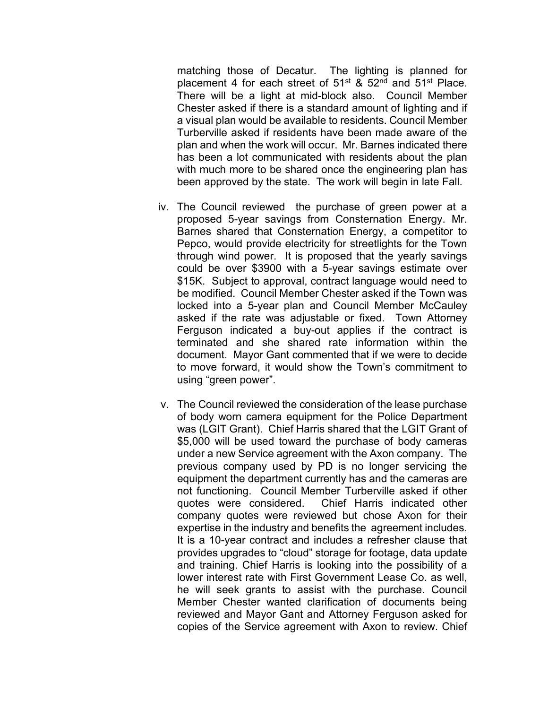matching those of Decatur. The lighting is planned for placement 4 for each street of  $51^{st}$  &  $52^{nd}$  and  $51^{st}$  Place. There will be a light at mid-block also. Council Member Chester asked if there is a standard amount of lighting and if a visual plan would be available to residents. Council Member Turberville asked if residents have been made aware of the plan and when the work will occur. Mr. Barnes indicated there has been a lot communicated with residents about the plan with much more to be shared once the engineering plan has been approved by the state. The work will begin in late Fall.

- iv. The Council reviewed the purchase of green power at a proposed 5-year savings from Consternation Energy. Mr. Barnes shared that Consternation Energy, a competitor to Pepco, would provide electricity for streetlights for the Town through wind power. It is proposed that the yearly savings could be over \$3900 with a 5-year savings estimate over \$15K. Subject to approval, contract language would need to be modified. Council Member Chester asked if the Town was locked into a 5-year plan and Council Member McCauley asked if the rate was adjustable or fixed. Town Attorney Ferguson indicated a buy-out applies if the contract is terminated and she shared rate information within the document. Mayor Gant commented that if we were to decide to move forward, it would show the Town's commitment to using "green power".
- v. The Council reviewed the consideration of the lease purchase of body worn camera equipment for the Police Department was (LGIT Grant). Chief Harris shared that the LGIT Grant of \$5,000 will be used toward the purchase of body cameras under a new Service agreement with the Axon company. The previous company used by PD is no longer servicing the equipment the department currently has and the cameras are not functioning. Council Member Turberville asked if other quotes were considered. Chief Harris indicated other company quotes were reviewed but chose Axon for their expertise in the industry and benefits the agreement includes. It is a 10-year contract and includes a refresher clause that provides upgrades to "cloud" storage for footage, data update and training. Chief Harris is looking into the possibility of a lower interest rate with First Government Lease Co. as well, he will seek grants to assist with the purchase. Council Member Chester wanted clarification of documents being reviewed and Mayor Gant and Attorney Ferguson asked for copies of the Service agreement with Axon to review. Chief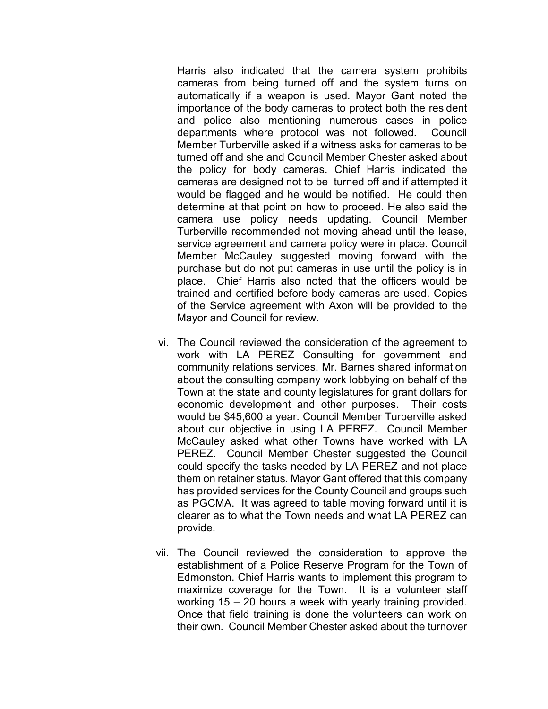Harris also indicated that the camera system prohibits cameras from being turned off and the system turns on automatically if a weapon is used. Mayor Gant noted the importance of the body cameras to protect both the resident and police also mentioning numerous cases in police departments where protocol was not followed. Council Member Turberville asked if a witness asks for cameras to be turned off and she and Council Member Chester asked about the policy for body cameras. Chief Harris indicated the cameras are designed not to be turned off and if attempted it would be flagged and he would be notified. He could then determine at that point on how to proceed. He also said the camera use policy needs updating. Council Member Turberville recommended not moving ahead until the lease, service agreement and camera policy were in place. Council Member McCauley suggested moving forward with the purchase but do not put cameras in use until the policy is in place. Chief Harris also noted that the officers would be trained and certified before body cameras are used. Copies of the Service agreement with Axon will be provided to the Mayor and Council for review.

- vi. The Council reviewed the consideration of the agreement to work with LA PEREZ Consulting for government and community relations services. Mr. Barnes shared information about the consulting company work lobbying on behalf of the Town at the state and county legislatures for grant dollars for economic development and other purposes. Their costs would be \$45,600 a year. Council Member Turberville asked about our objective in using LA PEREZ. Council Member McCauley asked what other Towns have worked with LA PEREZ. Council Member Chester suggested the Council could specify the tasks needed by LA PEREZ and not place them on retainer status. Mayor Gant offered that this company has provided services for the County Council and groups such as PGCMA. It was agreed to table moving forward until it is clearer as to what the Town needs and what LA PEREZ can provide.
- vii. The Council reviewed the consideration to approve the establishment of a Police Reserve Program for the Town of Edmonston. Chief Harris wants to implement this program to maximize coverage for the Town. It is a volunteer staff working 15 – 20 hours a week with yearly training provided. Once that field training is done the volunteers can work on their own. Council Member Chester asked about the turnover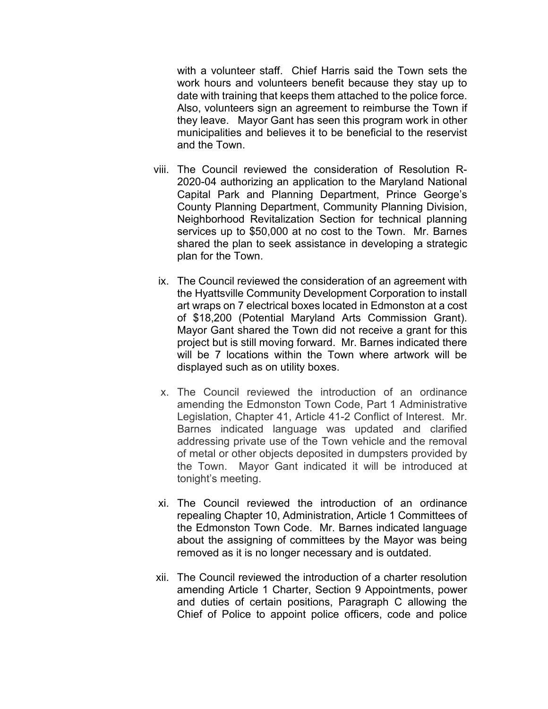with a volunteer staff. Chief Harris said the Town sets the work hours and volunteers benefit because they stay up to date with training that keeps them attached to the police force. Also, volunteers sign an agreement to reimburse the Town if they leave. Mayor Gant has seen this program work in other municipalities and believes it to be beneficial to the reservist and the Town.

- viii. The Council reviewed the consideration of Resolution R-2020-04 authorizing an application to the Maryland National Capital Park and Planning Department, Prince George's County Planning Department, Community Planning Division, Neighborhood Revitalization Section for technical planning services up to \$50,000 at no cost to the Town. Mr. Barnes shared the plan to seek assistance in developing a strategic plan for the Town.
	- ix. The Council reviewed the consideration of an agreement with the Hyattsville Community Development Corporation to install art wraps on 7 electrical boxes located in Edmonston at a cost of \$18,200 (Potential Maryland Arts Commission Grant). Mayor Gant shared the Town did not receive a grant for this project but is still moving forward. Mr. Barnes indicated there will be 7 locations within the Town where artwork will be displayed such as on utility boxes.
	- x. The Council reviewed the introduction of an ordinance amending the Edmonston Town Code, Part 1 Administrative Legislation, Chapter 41, Article 41-2 Conflict of Interest. Mr. Barnes indicated language was updated and clarified addressing private use of the Town vehicle and the removal of metal or other objects deposited in dumpsters provided by the Town. Mayor Gant indicated it will be introduced at tonight's meeting.
- xi. The Council reviewed the introduction of an ordinance repealing Chapter 10, Administration, Article 1 Committees of the Edmonston Town Code. Mr. Barnes indicated language about the assigning of committees by the Mayor was being removed as it is no longer necessary and is outdated.
- xii. The Council reviewed the introduction of a charter resolution amending Article 1 Charter, Section 9 Appointments, power and duties of certain positions, Paragraph C allowing the Chief of Police to appoint police officers, code and police